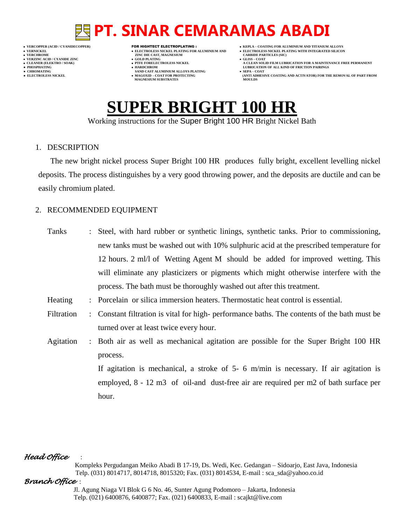- 
- 
- 

- **VERNICKEL ELECTROLESS NICKEL PLATING FOR ALUMINIUM AND ELECTROLESS NICKEL PLATING WITH INTEGRATED SILICON VERT ASSESSED ASSESSED ASSESSED ASSESSED ASSESSED ASSESSED ASSESSED ASSESSED ASSESSED ASSESSED ASSESSED ASSESSED ASSESSED ASSESSED ASSESSED ASSESSED ASSESSED ASSESSED ASSESSED ASSESSED ASSESSED ASSESSED ASSESSED ASSESSED**
- **VERZINC ACID / CYANIDE ZINC GOLD PLATING GLISS – COAT**
	-
- **• CHROMATING • CHROMATING • CHROMATING • CHROMATING • CHROMATING • CHROMATING • MAGOXID COAT FOR PROTECTING MAGNESIUM SUBSTRATES**
- **VERCOPPER (ACID / CYANIDECOPPER)** FOR HIGHTECT ELECTROPLATING :  **KEPLA – COATING FOR ALUMINIUM AND TITANIUM ALLOYS**
	-
- **CLEANER (ELEKTRO / SOAK) PTFE FORELECTROLESS NICKEL A CLEAN SOLID FILM LUBRICATION FOR A MAINTENANCE FREE PERMANENT**
- **PHOSPHATING HARDCHROM LUBRICATION OF ALL KIND OF FRICTION PAIRINGS ELECTROLESS AND ACTIVATOR) FOR THE REMOVAL OF PART FROM (ANTI ADHESIVE COATING AND ACTIVATOR) FOR THE REMOVAL OF PART FROM**

# **SUPER BRIGHT 100 HR**

Working instructions for the Super Bright 100 HR Bright Nickel Bath

### 1. DESCRIPTION

The new bright nickel process Super Bright 100 HR produces fully bright, excellent levelling nickel deposits. The process distinguishes by a very good throwing power, and the deposits are ductile and can be easily chromium plated.

### 2. RECOMMENDED EQUIPMENT

| Tanks      | Steel, with hard rubber or synthetic linings, synthetic tanks. Prior to commissioning,      |  |  |  |
|------------|---------------------------------------------------------------------------------------------|--|--|--|
|            | new tanks must be washed out with 10% sulphuric acid at the prescribed temperature for      |  |  |  |
|            | 12 hours. 2 ml/l of Wetting Agent M should be added for improved wetting. This              |  |  |  |
|            | will eliminate any plasticizers or pigments which might otherwise interfere with the        |  |  |  |
|            | process. The bath must be thoroughly washed out after this treatment.                       |  |  |  |
| Heating    | : Porcelain or silica immersion heaters. Thermostatic heat control is essential.            |  |  |  |
| Filtration | : Constant filtration is vital for high-performance baths. The contents of the bath must be |  |  |  |
|            | turned over at least twice every hour.                                                      |  |  |  |
| Agitation  | : Both air as well as mechanical agitation are possible for the Super Bright 100 HR         |  |  |  |
|            | process.                                                                                    |  |  |  |
|            | If agitation is mechanical, a stroke of $5-6$ m/min is necessary. If air agitation is       |  |  |  |
|            | employed, 8 - 12 m3 of oil-and dust-free air are required per m2 of bath surface per        |  |  |  |
|            | hour.                                                                                       |  |  |  |

### *Head Office* :

 Kompleks Pergudangan Meiko Abadi B 17-19, Ds. Wedi, Kec. Gedangan – Sidoarjo, East Java, Indonesia Telp. (031) 8014717, 8014718, 8015320; Fax. (031) 8014534, E-mail : sca\_sda@yahoo.co.id

### *Branch Office* :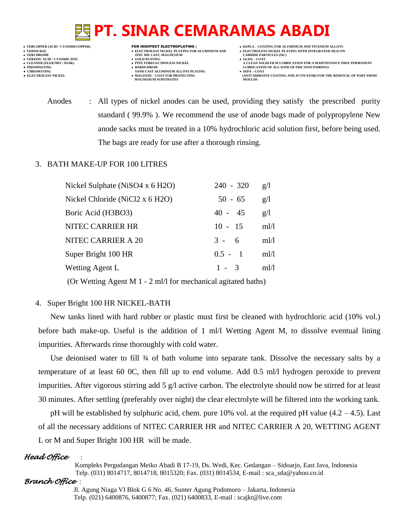- 
- 
- 
- 

- **VERNICKEL ELECTROLESS NICKEL PLATING FOR ALUMINIUM AND ELECTROLESS NICKEL PLATING WITH INTEGRATED SILICON VERFORM ZINC DIE CAST, MAGNESIUM CARBIDE PARTICLES (SIC)**<br> **CARBIDE PARTING**
- **VERZINC ACID / CYANIDE ZINC GOLD PLATING GLISS – COAT**
	-
- **● CHROMATING SAND CAST ALUMINIUM ALLOYS PLATING SEPA – COAT MAGNESIUM SUBSTRATES**
- **VERCOPPER (ACID / CYANIDECOPPER)** FOR HIGHTECT ELECTROPLATING :  **KEPLA – COATING FOR ALUMINIUM AND TITANIUM ALLOYS**
	-
- **CLEANER (ELEKTRO / SOAK) PTFE FORELECTROLESS NICKEL A CLEAN SOLID FILM LUBRICATION FOR A MAINTENANCE FREE PERMANENT ● PHOSPHATING HARDCHROM LUBRICATION OF ALL KIND OF FRICTION PAIRINGS** 
	- **ELECTROLESS AND ACTIVATOR) FOR THE REMOVAL OF PART FROM (ANTI ADHESIVE COATING AND ACTIVATOR) FOR THE REMOVAL OF PART FROM**
	- Anodes : All types of nickel anodes can be used, providing they satisfy the prescribed purity standard ( 99.9% ). We recommend the use of anode bags made of polypropylene New anode sacks must be treated in a 10% hydrochloric acid solution first, before being used. The bags are ready for use after a thorough rinsing.

### 3. BATH MAKE-UP FOR 100 LITRES

| Nickel Sulphate (NiSO4 x 6 H2O) | $240 - 320$ | g/l  |
|---------------------------------|-------------|------|
| Nickel Chloride (NiCl2 x 6 H2O) | $50 - 65$   | g/l  |
| Boric Acid (H3BO3)              | $40 - 45$   | g/l  |
| NITEC CARRIER HR                | $10 - 15$   | m!/l |
| NITEC CARRIER A 20              | $3 - 6$     | ml/l |
| Super Bright 100 HR             | $0.5 - 1$   | m!/l |
| Wetting Agent L                 | $1 - 3$     | m!/l |
|                                 |             |      |

(Or Wetting Agent M 1 - 2 ml/l for mechanical agitated baths)

## 4. Super Bright 100 HR NICKEL-BATH

New tanks lined with hard rubber or plastic must first be cleaned with hydrochloric acid (10% vol.) before bath make-up. Useful is the addition of 1 ml/l Wetting Agent M, to dissolve eventual lining impurities. Afterwards rinse thoroughly with cold water.

Use deionised water to fill  $\frac{3}{4}$  of bath volume into separate tank. Dissolve the necessary salts by a temperature of at least 60 0C, then fill up to end volume. Add 0.5 ml/l hydrogen peroxide to prevent impurities. After vigorous stirring add 5 g/l active carbon. The electrolyte should now be stirred for at least 30 minutes. After settling (preferably over night) the clear electrolyte will be filtered into the working tank.

pH will be established by sulphuric acid, chem. pure 10% vol. at the required pH value (4.2 – 4.5). Last of all the necessary additions of NITEC CARRIER HR and NITEC CARRIER A 20, WETTING AGENT L or M and Super Bright 100 HR will be made.

# *Head Office* :

 Kompleks Pergudangan Meiko Abadi B 17-19, Ds. Wedi, Kec. Gedangan – Sidoarjo, East Java, Indonesia Telp. (031) 8014717, 8014718, 8015320; Fax. (031) 8014534, E-mail : sca\_sda@yahoo.co.id

## *Branch Office* :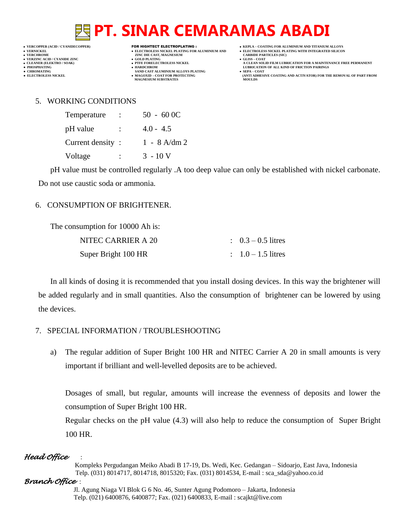**VERT ASSESSED ASSESSED ASSESSED ASSESSED ASSESSED ASSESSED ASSESSED ASSESSED ASSESSED ASSESSED ASSESSED ASSESSED ASSESSED ASSESSED ASSESSED ASSESSED ASSESSED ASSESSED ASSESSED ASSESSED ASSESSED ASSESSED ASSESSED ASSESSED** 

- **VERZINC ACID / CYANIDE ZINC GOLD PLATING GLISS – COAT**
	-
- **•** CHROMATING **CHROMATING • CHROMATING • CHROMATING • CHROMATING • CHROMATING • MAGOXID COAT** FOR PROTECTING **MAGNESIUM SUBSTRATES**
- **VERCOPPER (ACID / CYANIDECOPPER)** FOR HIGHTECT ELECTROPLATING :  **KEPLA – COATING FOR ALUMINIUM AND TITANIUM ALLOYS**
- **VERNICKEL ELECTROLESS NICKEL PLATING FOR ALUMINIUM AND ELECTROLESS NICKEL PLATING WITH INTEGRATED SILICON**
	-
- **CLEANER (ELEKTRO / SOAK) PTFE FORELECTROLESS NICKEL A CLEAN SOLID FILM LUBRICATION FOR A MAINTENANCE FREE PERMANENT ● PHOSPHATING HARDCHROM LUBRICATION OF ALL KIND OF FRICTION PAIRINGS** 
	- **ELECTROLESS AND ACTIVATOR) FOR THE REMOVAL OF PART FROM (ANTI ADHESIVE COATING AND ACTIVATOR) FOR THE REMOVAL OF PART FROM**

### 5. WORKING CONDITIONS

| Temperature      |                | $50 - 600C$    |
|------------------|----------------|----------------|
| pH value         | $\ddot{\cdot}$ | $4.0 - 4.5$    |
| Current density: |                | $1 - 8$ A/dm 2 |
| Voltage          |                | $3 - 10$ V     |

pH value must be controlled regularly .A too deep value can only be established with nickel carbonate. Do not use caustic soda or ammonia.

### 6. CONSUMPTION OF BRIGHTENER.

The consumption for 10000 Ah is:

| NITEC CARRIER A 20  | $\therefore$ 0.3 – 0.5 litres |
|---------------------|-------------------------------|
| Super Bright 100 HR | $1.0 - 1.5$ litres            |

In all kinds of dosing it is recommended that you install dosing devices. In this way the brightener will be added regularly and in small quantities. Also the consumption of brightener can be lowered by using the devices.

- 7. SPECIAL INFORMATION / TROUBLESHOOTING
	- a) The regular addition of Super Bright 100 HR and NITEC Carrier A 20 in small amounts is very important if brilliant and well-levelled deposits are to be achieved.

Dosages of small, but regular, amounts will increase the evenness of deposits and lower the consumption of Super Bright 100 HR.

Regular checks on the pH value (4.3) will also help to reduce the consumption of Super Bright 100 HR.

### *Head Office* :

 Kompleks Pergudangan Meiko Abadi B 17-19, Ds. Wedi, Kec. Gedangan – Sidoarjo, East Java, Indonesia Telp. (031) 8014717, 8014718, 8015320; Fax. (031) 8014534, E-mail : sca\_sda@yahoo.co.id

*Branch Office* :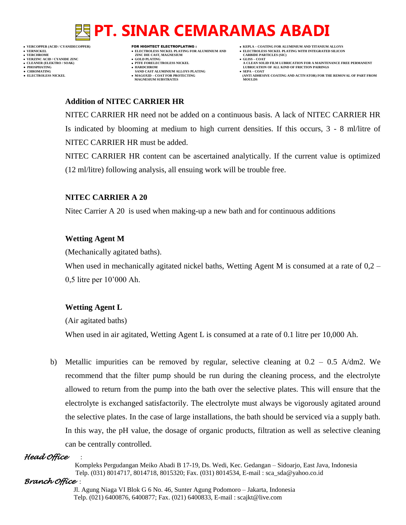

- 
- 

- **VERFORM ZINC DIE CAST, MAGNESIUM CARBIDE PARTICLES (SIC)**<br> **CARBIDE PARTING**
- 
- **PHOSPHATING HARDCHROM LUBRICATION OF ALL KIND OF FRICTION PAIRINGS ● CHROMATING SAND CAST ALUMINIUM ALLOYS PLATING SEPA – COAT**
- **VERCOPPER (ACID / CYANIDECOPPER)** FOR HIGHTECT ELECTROPLATING :  **KEPLA – COATING FOR ALUMINIUM AND TITANIUM ALLOYS**
	-
- **CLEANER (ELEKTRO / SOAK) PTFE FORELECTROLESS NICKEL A CLEAN SOLID FILM LUBRICATION FOR A MAINTENANCE FREE PERMANENT**
- **• ELECTROLESS** NICKEL **<b>MAGOXID AND COAT ALCOLUMENT ALCOLUMENT** (AND ACTIVATOR) FOR THE REMOVAL OF PART FROM **(ANTI ADHESIVE COATING AND ACTIVATOR)** FOR THE REMOVAL OF PART FROM **AND ACTIVATOR MAGNESIUM SUBSTRATES MOULDS**

### **Addition of NITEC CARRIER HR**

NITEC CARRIER HR need not be added on a continuous basis. A lack of NITEC CARRIER HR Is indicated by blooming at medium to high current densities. If this occurs, 3 - 8 ml/litre of NITEC CARRIER HR must be added.

NITEC CARRIER HR content can be ascertained analytically. If the current value is optimized (12 ml/litre) following analysis, all ensuing work will be trouble free.

### **NITEC CARRIER A 20**

Nitec Carrier A 20 is used when making-up a new bath and for continuous additions

### **Wetting Agent M**

(Mechanically agitated baths).

When used in mechanically agitated nickel baths, Wetting Agent M is consumed at a rate of  $0,2$  – 0,5 litre per 10'000 Ah.

## **Wetting Agent L**

(Air agitated baths)

When used in air agitated, Wetting Agent L is consumed at a rate of 0.1 litre per 10,000 Ah.

b) Metallic impurities can be removed by regular, selective cleaning at  $0.2 - 0.5$  A/dm2. We recommend that the filter pump should be run during the cleaning process, and the electrolyte allowed to return from the pump into the bath over the selective plates. This will ensure that the electrolyte is exchanged satisfactorily. The electrolyte must always be vigorously agitated around the selective plates. In the case of large installations, the bath should be serviced via a supply bath. In this way, the pH value, the dosage of organic products, filtration as well as selective cleaning can be centrally controlled.

### *Head Office* :

 Kompleks Pergudangan Meiko Abadi B 17-19, Ds. Wedi, Kec. Gedangan – Sidoarjo, East Java, Indonesia Telp. (031) 8014717, 8014718, 8015320; Fax. (031) 8014534, E-mail : sca\_sda@yahoo.co.id

### *Branch Office* :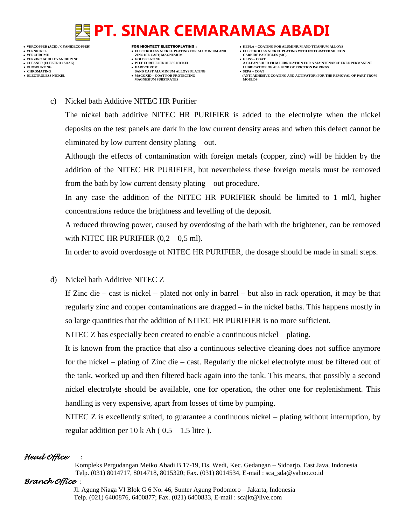- **VERNICKEL ELECTROLESS NICKEL PLATING FOR ALUMINIUM AND ELECTROLESS NICKEL PLATING WITH INTEGRATED SILICON VERZINC ACID / CYANIDE ZINC GOLD PLATING GLISS – COAT ● PHOSPHATING HARDCHROM LUBRICATION OF ALL KIND OF FRICTION PAIRINGS**
- 
- 
- **VERFORM ZINC DIE CAST, MAGNESIUM CARBIDE PARTICLES (SIC)**<br> **CARBIDE PARTING**
- 
- 
- **● CHROMATING SAND CAST ALUMINIUM ALLOYS PLATING SEPA – COAT MAGNESIUM SUBSTRATES MOULDS**
- **VERCOPPER (ACID / CYANIDECOPPER)** FOR HIGHTECT ELECTROPLATING :  **KEPLA – COATING FOR ALUMINIUM AND TITANIUM ALLOYS**
	-
- **CLEANER (ELEKTRO / SOAK) PTFE FORELECTROLESS NICKEL A CLEAN SOLID FILM LUBRICATION FOR A MAINTENANCE FREE PERMANENT**
- **• ELECTROLESS** NICKEL **<b>MAGOXID AND COAT ALCOLUMENT ALCOLUMENT** (AND ACTIVATOR) FOR THE REMOVAL OF PART FROM **(ANTI ADHESIVE COATING AND ACTIVATOR)** FOR THE REMOVAL OF PART FROM **AND ACTIVATOR**

### c) Nickel bath Additive NITEC HR Purifier

The nickel bath additive NITEC HR PURIFIER is added to the electrolyte when the nickel deposits on the test panels are dark in the low current density areas and when this defect cannot be eliminated by low current density plating – out.

Although the effects of contamination with foreign metals (copper, zinc) will be hidden by the addition of the NITEC HR PURIFIER, but nevertheless these foreign metals must be removed from the bath by low current density plating – out procedure.

In any case the addition of the NITEC HR PURIFIER should be limited to 1 ml/l, higher concentrations reduce the brightness and levelling of the deposit.

A reduced throwing power, caused by overdosing of the bath with the brightener, can be removed with NITEC HR PURIFIER  $(0,2 - 0.5 \text{ ml})$ .

In order to avoid overdosage of NITEC HR PURIFIER, the dosage should be made in small steps.

d) Nickel bath Additive NITEC Z

If Zinc die – cast is nickel – plated not only in barrel – but also in rack operation, it may be that regularly zinc and copper contaminations are dragged – in the nickel baths. This happens mostly in so large quantities that the addition of NITEC HR PURIFIER is no more sufficient.

NITEC Z has especially been created to enable a continuous nickel – plating.

It is known from the practice that also a continuous selective cleaning does not suffice anymore for the nickel – plating of Zinc die – cast. Regularly the nickel electrolyte must be filtered out of the tank, worked up and then filtered back again into the tank. This means, that possibly a second nickel electrolyte should be available, one for operation, the other one for replenishment. This handling is very expensive, apart from losses of time by pumping.

NITEC Z is excellently suited, to guarantee a continuous nickel – plating without interruption, by regular addition per  $10 \text{ k}$  Ah (  $0.5 - 1.5$  litre ).

## *Head Office* :

 Kompleks Pergudangan Meiko Abadi B 17-19, Ds. Wedi, Kec. Gedangan – Sidoarjo, East Java, Indonesia Telp. (031) 8014717, 8014718, 8015320; Fax. (031) 8014534, E-mail : sca\_sda@yahoo.co.id

### *Branch Office* :